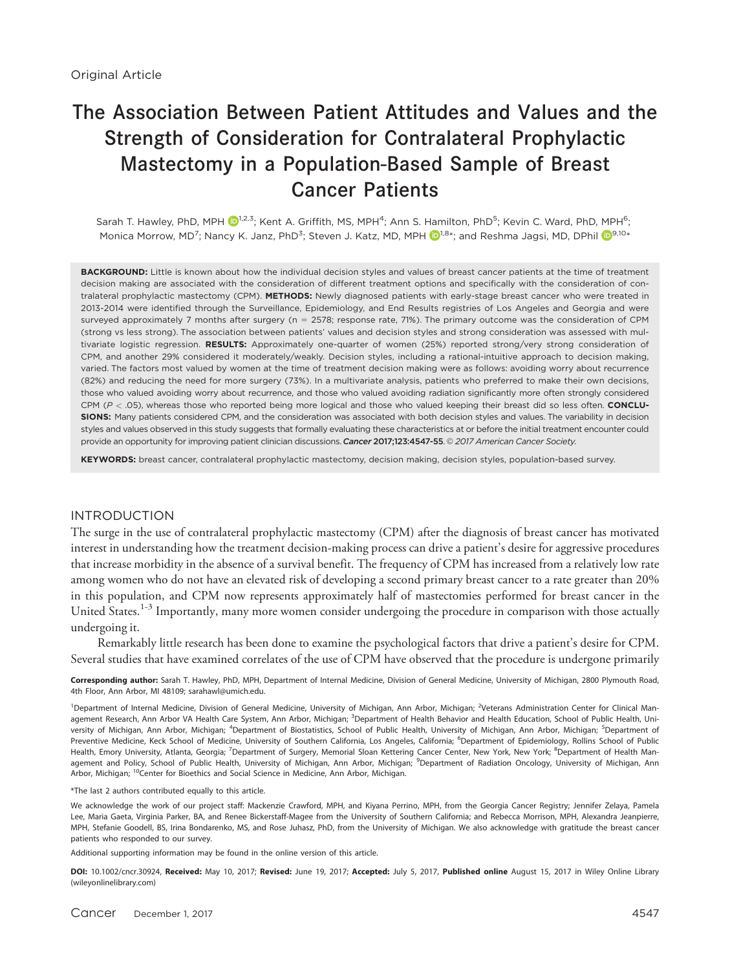# The Association Between Patient Attitudes and Values and the Strength of Consideration for Contralateral Prophylactic Mastectomy in a Population-Based Sample of Breast Cancer Patients

Sarah T. Hawley, PhD, MPH  $\bullet^{1,2,3}$ ; Kent A. Griffith, MS, MPH<sup>4</sup>; Ann S. Hamilton, PhD<sup>5</sup>; Kevin C. Ward, PhD, MPH<sup>6</sup>; Monica Morrow, MD<sup>7</sup>; Nancy K. Janz, PhD<sup>3</sup>; Steven J. Katz, MD, MPH [1](http://orcid.org/0000-0002-1151-861X)[9](http://orcid.org/0000-0001-6562-1228)18\*; and Reshma Jagsi, MD, DPhil 19910\*

BACKGROUND: Little is known about how the individual decision styles and values of breast cancer patients at the time of treatment decision making are associated with the consideration of different treatment options and specifically with the consideration of contralateral prophylactic mastectomy (CPM). METHODS: Newly diagnosed patients with early-stage breast cancer who were treated in 2013-2014 were identified through the Surveillance, Epidemiology, and End Results registries of Los Angeles and Georgia and were surveyed approximately 7 months after surgery (n = 2578; response rate, 71%). The primary outcome was the consideration of CPM (strong vs less strong). The association between patients' values and decision styles and strong consideration was assessed with multivariate logistic regression. RESULTS: Approximately one-quarter of women (25%) reported strong/very strong consideration of CPM, and another 29% considered it moderately/weakly. Decision styles, including a rational-intuitive approach to decision making, varied. The factors most valued by women at the time of treatment decision making were as follows: avoiding worry about recurrence (82%) and reducing the need for more surgery (73%). In a multivariate analysis, patients who preferred to make their own decisions, those who valued avoiding worry about recurrence, and those who valued avoiding radiation significantly more often strongly considered CPM ( $P <$  .05), whereas those who reported being more logical and those who valued keeping their breast did so less often. CONCLU-SIONS: Many patients considered CPM, and the consideration was associated with both decision styles and values. The variability in decision styles and values observed in this study suggests that formally evaluating these characteristics at or before the initial treatment encounter could provide an opportunity for improving patient clinician discussions. Cancer 2017;123:4547-55. © 2017 American Cancer Society.

KEYWORDS: breast cancer, contralateral prophylactic mastectomy, decision making, decision styles, population-based survey.

## INTRODUCTION

The surge in the use of contralateral prophylactic mastectomy (CPM) after the diagnosis of breast cancer has motivated interest in understanding how the treatment decision-making process can drive a patient's desire for aggressive procedures that increase morbidity in the absence of a survival benefit. The frequency of CPM has increased from a relatively low rate among women who do not have an elevated risk of developing a second primary breast cancer to a rate greater than 20% in this population, and CPM now represents approximately half of mastectomies performed for breast cancer in the United States.<sup>1-3</sup> Importantly, many more women consider undergoing the procedure in comparison with those actually undergoing it.

Remarkably little research has been done to examine the psychological factors that drive a patient's desire for CPM. Several studies that have examined correlates of the use of CPM have observed that the procedure is undergone primarily

Corresponding author: Sarah T. Hawley, PhD, MPH, Department of Internal Medicine, Division of General Medicine, University of Michigan, 2800 Plymouth Road, 4th Floor, Ann Arbor, MI 48109; sarahawl@umich.edu.

<sup>1</sup>Department of Internal Medicine, Division of General Medicine, University of Michigan, Ann Arbor, Michigan; <sup>2</sup>Veterans Administration Center for Clinical Management Research, Ann Arbor VA Health Care System, Ann Arbor, Michigan; <sup>3</sup>Department of Health Behavior and Health Education, School of Public Health, University of Michigan, Ann Arbor, Michigan; <sup>4</sup>Department of Biostatistics, School of Public Health, University of Michigan, Ann Arbor, Michigan; <sup>5</sup>Department of Preventive Medicine, Keck School of Medicine, University of Southern California, Los Angeles, California; <sup>6</sup>Department of Epidemiology, Rollins School of Public Health, Emory University, Atlanta, Georgia; <sup>7</sup>Department of Surgery, Memorial Sloan Kettering Cancer Center, New York, New York; <sup>8</sup>Department of Health Management and Policy, School of Public Health, University of Michigan, Ann Arbor, Michigan; <sup>9</sup>Department of Radiation Oncology, University of Michigan, Ann Arbor, Michigan; 10Center for Bioethics and Social Science in Medicine, Ann Arbor, Michigan.

\*The last 2 authors contributed equally to this article.

We acknowledge the work of our project staff: Mackenzie Crawford, MPH, and Kiyana Perrino, MPH, from the Georgia Cancer Registry; Jennifer Zelaya, Pamela Lee, Maria Gaeta, Virginia Parker, BA, and Renee Bickerstaff-Magee from the University of Southern California; and Rebecca Morrison, MPH, Alexandra Jeanpierre, MPH, Stefanie Goodell, BS, Irina Bondarenko, MS, and Rose Juhasz, PhD, from the University of Michigan. We also acknowledge with gratitude the breast cancer patients who responded to our survey.

Additional supporting information may be found in the online version of this article.

DOI: 10.1002/cncr.30924, Received: May 10, 2017; Revised: June 19, 2017; Accepted: July 5, 2017, Published online August 15, 2017 in Wiley Online Library (wileyonlinelibrary.com)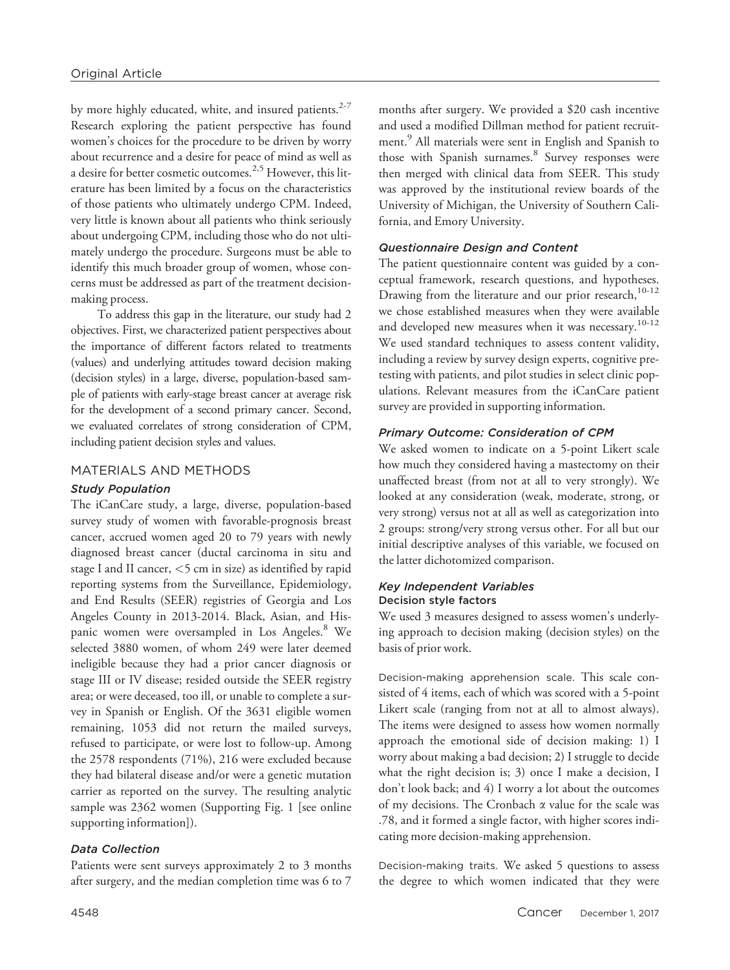by more highly educated, white, and insured patients. $2-7$ Research exploring the patient perspective has found women's choices for the procedure to be driven by worry about recurrence and a desire for peace of mind as well as a desire for better cosmetic outcomes.<sup>2,5</sup> However, this literature has been limited by a focus on the characteristics of those patients who ultimately undergo CPM. Indeed, very little is known about all patients who think seriously about undergoing CPM, including those who do not ultimately undergo the procedure. Surgeons must be able to identify this much broader group of women, whose concerns must be addressed as part of the treatment decisionmaking process.

To address this gap in the literature, our study had 2 objectives. First, we characterized patient perspectives about the importance of different factors related to treatments (values) and underlying attitudes toward decision making (decision styles) in a large, diverse, population-based sample of patients with early-stage breast cancer at average risk for the development of a second primary cancer. Second, we evaluated correlates of strong consideration of CPM, including patient decision styles and values.

# MATERIALS AND METHODS

## Study Population

The iCanCare study, a large, diverse, population-based survey study of women with favorable-prognosis breast cancer, accrued women aged 20 to 79 years with newly diagnosed breast cancer (ductal carcinoma in situ and stage I and II cancer, <5 cm in size) as identified by rapid reporting systems from the Surveillance, Epidemiology, and End Results (SEER) registries of Georgia and Los Angeles County in 2013-2014. Black, Asian, and Hispanic women were oversampled in Los Angeles.<sup>8</sup> We selected 3880 women, of whom 249 were later deemed ineligible because they had a prior cancer diagnosis or stage III or IV disease; resided outside the SEER registry area; or were deceased, too ill, or unable to complete a survey in Spanish or English. Of the 3631 eligible women remaining, 1053 did not return the mailed surveys, refused to participate, or were lost to follow-up. Among the 2578 respondents (71%), 216 were excluded because they had bilateral disease and/or were a genetic mutation carrier as reported on the survey. The resulting analytic sample was 2362 women (Supporting Fig. 1 [see online supporting information]).

## Data Collection

Patients were sent surveys approximately 2 to 3 months after surgery, and the median completion time was 6 to 7 months after surgery. We provided a \$20 cash incentive and used a modified Dillman method for patient recruitment.<sup>9</sup> All materials were sent in English and Spanish to those with Spanish surnames.<sup>8</sup> Survey responses were then merged with clinical data from SEER. This study was approved by the institutional review boards of the University of Michigan, the University of Southern California, and Emory University.

## Questionnaire Design and Content

The patient questionnaire content was guided by a conceptual framework, research questions, and hypotheses. Drawing from the literature and our prior research,<sup>10-12</sup> we chose established measures when they were available and developed new measures when it was necessary.<sup>10-12</sup> We used standard techniques to assess content validity, including a review by survey design experts, cognitive pretesting with patients, and pilot studies in select clinic populations. Relevant measures from the iCanCare patient survey are provided in supporting information.

## Primary Outcome: Consideration of CPM

We asked women to indicate on a 5-point Likert scale how much they considered having a mastectomy on their unaffected breast (from not at all to very strongly). We looked at any consideration (weak, moderate, strong, or very strong) versus not at all as well as categorization into 2 groups: strong/very strong versus other. For all but our initial descriptive analyses of this variable, we focused on the latter dichotomized comparison.

## Key Independent Variables Decision style factors

We used 3 measures designed to assess women's underlying approach to decision making (decision styles) on the basis of prior work.

Decision-making apprehension scale. This scale consisted of 4 items, each of which was scored with a 5-point Likert scale (ranging from not at all to almost always). The items were designed to assess how women normally approach the emotional side of decision making: 1) I worry about making a bad decision; 2) I struggle to decide what the right decision is; 3) once I make a decision, I don't look back; and 4) I worry a lot about the outcomes of my decisions. The Cronbach  $\alpha$  value for the scale was .78, and it formed a single factor, with higher scores indicating more decision-making apprehension.

Decision-making traits. We asked 5 questions to assess the degree to which women indicated that they were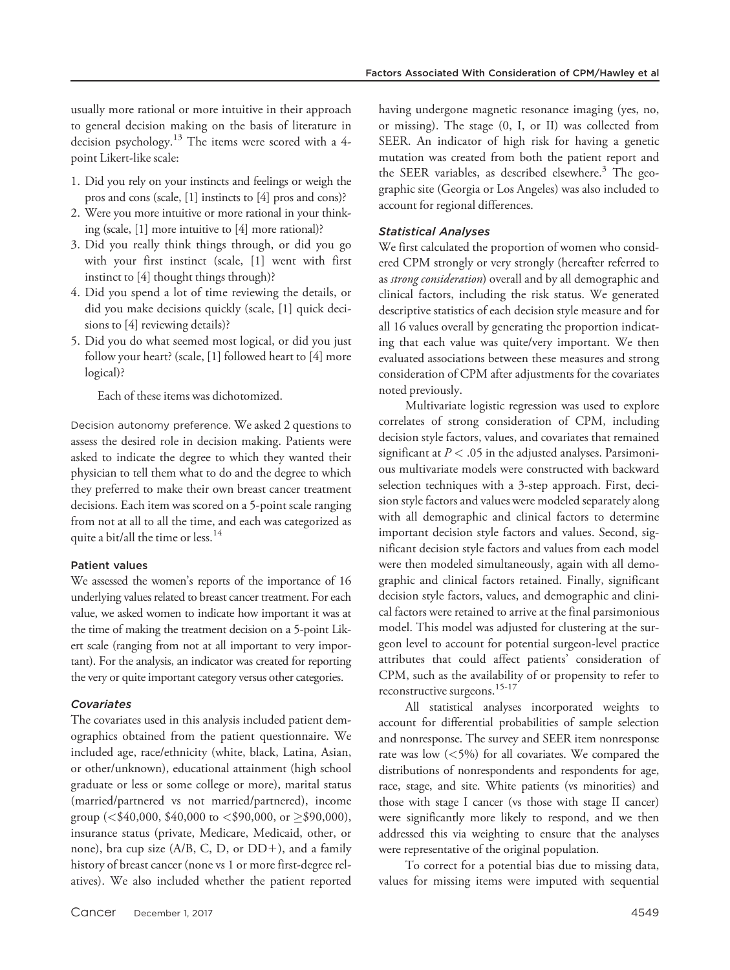usually more rational or more intuitive in their approach to general decision making on the basis of literature in decision psychology.<sup>13</sup> The items were scored with a 4point Likert-like scale:

- 1. Did you rely on your instincts and feelings or weigh the pros and cons (scale, [1] instincts to [4] pros and cons)?
- 2. Were you more intuitive or more rational in your thinking (scale, [1] more intuitive to [4] more rational)?
- 3. Did you really think things through, or did you go with your first instinct (scale, [1] went with first instinct to [4] thought things through)?
- 4. Did you spend a lot of time reviewing the details, or did you make decisions quickly (scale, [1] quick decisions to [4] reviewing details)?
- 5. Did you do what seemed most logical, or did you just follow your heart? (scale, [1] followed heart to [4] more logical)?

Each of these items was dichotomized.

Decision autonomy preference. We asked 2 questions to assess the desired role in decision making. Patients were asked to indicate the degree to which they wanted their physician to tell them what to do and the degree to which they preferred to make their own breast cancer treatment decisions. Each item was scored on a 5-point scale ranging from not at all to all the time, and each was categorized as quite a bit/all the time or less.<sup>14</sup>

#### Patient values

We assessed the women's reports of the importance of 16 underlying values related to breast cancer treatment. For each value, we asked women to indicate how important it was at the time of making the treatment decision on a 5-point Likert scale (ranging from not at all important to very important). For the analysis, an indicator was created for reporting the very or quite important category versus other categories.

#### **Covariates**

The covariates used in this analysis included patient demographics obtained from the patient questionnaire. We included age, race/ethnicity (white, black, Latina, Asian, or other/unknown), educational attainment (high school graduate or less or some college or more), marital status (married/partnered vs not married/partnered), income group (<\$40,000, \$40,000 to <\$90,000, or  $\geq$ \$90,000), insurance status (private, Medicare, Medicaid, other, or none), bra cup size  $(A/B, C, D, or DD+$ ), and a family history of breast cancer (none vs 1 or more first-degree relatives). We also included whether the patient reported having undergone magnetic resonance imaging (yes, no, or missing). The stage (0, I, or II) was collected from SEER. An indicator of high risk for having a genetic mutation was created from both the patient report and the SEER variables, as described elsewhere.<sup>3</sup> The geographic site (Georgia or Los Angeles) was also included to account for regional differences.

## Statistical Analyses

We first calculated the proportion of women who considered CPM strongly or very strongly (hereafter referred to as strong consideration) overall and by all demographic and clinical factors, including the risk status. We generated descriptive statistics of each decision style measure and for all 16 values overall by generating the proportion indicating that each value was quite/very important. We then evaluated associations between these measures and strong consideration of CPM after adjustments for the covariates noted previously.

Multivariate logistic regression was used to explore correlates of strong consideration of CPM, including decision style factors, values, and covariates that remained significant at  $P < .05$  in the adjusted analyses. Parsimonious multivariate models were constructed with backward selection techniques with a 3-step approach. First, decision style factors and values were modeled separately along with all demographic and clinical factors to determine important decision style factors and values. Second, significant decision style factors and values from each model were then modeled simultaneously, again with all demographic and clinical factors retained. Finally, significant decision style factors, values, and demographic and clinical factors were retained to arrive at the final parsimonious model. This model was adjusted for clustering at the surgeon level to account for potential surgeon-level practice attributes that could affect patients' consideration of CPM, such as the availability of or propensity to refer to reconstructive surgeons.15-17

All statistical analyses incorporated weights to account for differential probabilities of sample selection and nonresponse. The survey and SEER item nonresponse rate was low (<5%) for all covariates. We compared the distributions of nonrespondents and respondents for age, race, stage, and site. White patients (vs minorities) and those with stage I cancer (vs those with stage II cancer) were significantly more likely to respond, and we then addressed this via weighting to ensure that the analyses were representative of the original population.

To correct for a potential bias due to missing data, values for missing items were imputed with sequential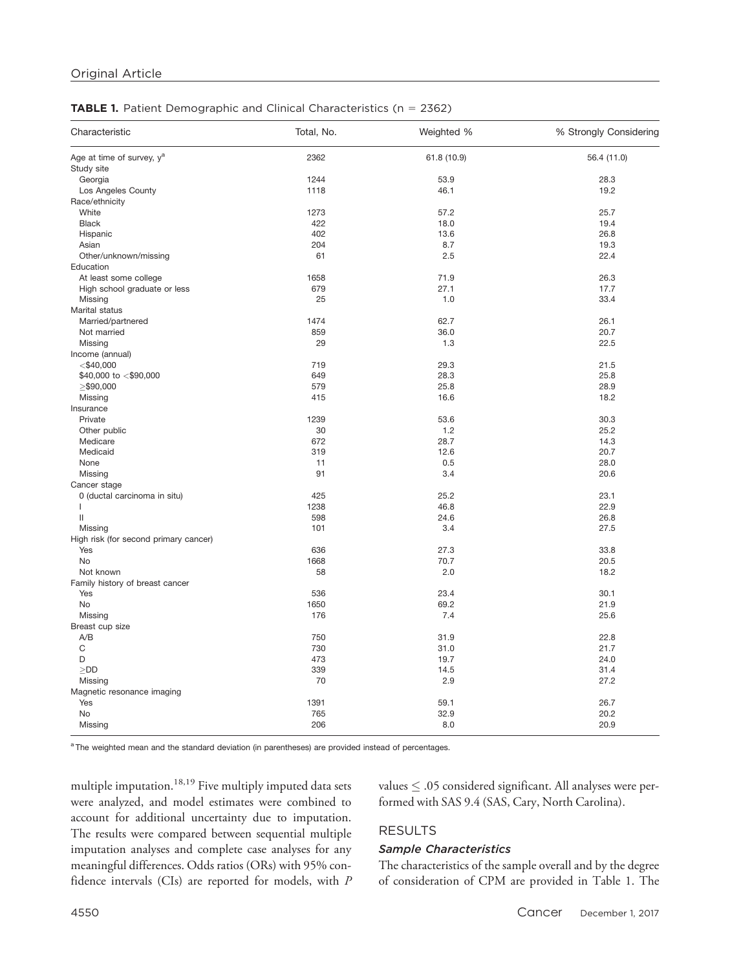### **TABLE 1.** Patient Demographic and Clinical Characteristics ( $n = 2362$ )

| Age at time of survey, y <sup>a</sup><br>2362<br>61.8 (10.9)<br>56.4 (11.0)<br>Study site<br>Georgia<br>1244<br>53.9<br>28.3<br>Los Angeles County<br>1118<br>46.1<br>19.2<br>Race/ethnicity<br>White<br>1273<br>57.2<br>25.7<br><b>Black</b><br>422<br>18.0<br>19.4<br>402<br>13.6<br>26.8<br>Hispanic<br>204<br>8.7<br>Asian<br>19.3<br>Other/unknown/missing<br>61<br>2.5<br>22.4<br>Education<br>71.9<br>1658<br>26.3<br>At least some college<br>27.1<br>17.7<br>679<br>High school graduate or less<br>25<br>1.0<br>33.4<br>Missing<br>Marital status<br>1474<br>62.7<br>26.1<br>Married/partnered<br>859<br>36.0<br>Not married<br>20.7<br>29<br>Missing<br>1.3<br>22.5<br>Income (annual)<br>719<br>29.3<br>21.5<br>$<$ \$40,000<br>\$40,000 to <\$90,000<br>649<br>28.3<br>25.8<br>$\geq$ \$90,000<br>579<br>25.8<br>28.9<br>Missing<br>415<br>16.6<br>18.2<br>Insurance<br>1239<br>53.6<br>30.3<br>Private<br>30<br>1.2<br>25.2<br>Other public<br>28.7<br>672<br>14.3<br>Medicare<br>Medicaid<br>319<br>12.6<br>20.7<br>11<br>0.5<br>28.0<br>None<br>91<br>3.4<br>Missing<br>20.6<br>Cancer stage<br>425<br>0 (ductal carcinoma in situ)<br>25.2<br>23.1<br>1238<br>22.9<br>$\mathbf{I}$<br>46.8<br>$\mathsf{I}$<br>598<br>24.6<br>26.8<br>101<br>3.4<br>27.5<br>Missing<br>High risk (for second primary cancer)<br>636<br>27.3<br>Yes<br>33.8<br>1668<br>20.5<br><b>No</b><br>70.7<br>Not known<br>58<br>2.0<br>18.2<br>Family history of breast cancer<br>536<br>23.4<br>30.1<br>Yes<br>1650<br>69.2<br>21.9<br>No<br>176<br>7.4<br>25.6<br>Missing<br>Breast cup size<br>A/B<br>750<br>31.9<br>22.8<br>C<br>730<br>31.0<br>21.7<br>D<br>473<br>19.7<br>24.0<br>$\geq$ DD<br>339<br>14.5<br>31.4<br>70<br>2.9<br>27.2<br>Missing<br>Magnetic resonance imaging<br>Yes<br>1391<br>59.1<br>26.7<br>32.9<br>No<br>765<br>20.2<br>206<br>8.0<br>20.9<br>Missing | Characteristic | Total, No. | Weighted % | % Strongly Considering |
|---------------------------------------------------------------------------------------------------------------------------------------------------------------------------------------------------------------------------------------------------------------------------------------------------------------------------------------------------------------------------------------------------------------------------------------------------------------------------------------------------------------------------------------------------------------------------------------------------------------------------------------------------------------------------------------------------------------------------------------------------------------------------------------------------------------------------------------------------------------------------------------------------------------------------------------------------------------------------------------------------------------------------------------------------------------------------------------------------------------------------------------------------------------------------------------------------------------------------------------------------------------------------------------------------------------------------------------------------------------------------------------------------------------------------------------------------------------------------------------------------------------------------------------------------------------------------------------------------------------------------------------------------------------------------------------------------------------------------------------------------------------------------------------------------------------------------------------------------------------------------|----------------|------------|------------|------------------------|
|                                                                                                                                                                                                                                                                                                                                                                                                                                                                                                                                                                                                                                                                                                                                                                                                                                                                                                                                                                                                                                                                                                                                                                                                                                                                                                                                                                                                                                                                                                                                                                                                                                                                                                                                                                                                                                                                           |                |            |            |                        |
|                                                                                                                                                                                                                                                                                                                                                                                                                                                                                                                                                                                                                                                                                                                                                                                                                                                                                                                                                                                                                                                                                                                                                                                                                                                                                                                                                                                                                                                                                                                                                                                                                                                                                                                                                                                                                                                                           |                |            |            |                        |
|                                                                                                                                                                                                                                                                                                                                                                                                                                                                                                                                                                                                                                                                                                                                                                                                                                                                                                                                                                                                                                                                                                                                                                                                                                                                                                                                                                                                                                                                                                                                                                                                                                                                                                                                                                                                                                                                           |                |            |            |                        |
|                                                                                                                                                                                                                                                                                                                                                                                                                                                                                                                                                                                                                                                                                                                                                                                                                                                                                                                                                                                                                                                                                                                                                                                                                                                                                                                                                                                                                                                                                                                                                                                                                                                                                                                                                                                                                                                                           |                |            |            |                        |
|                                                                                                                                                                                                                                                                                                                                                                                                                                                                                                                                                                                                                                                                                                                                                                                                                                                                                                                                                                                                                                                                                                                                                                                                                                                                                                                                                                                                                                                                                                                                                                                                                                                                                                                                                                                                                                                                           |                |            |            |                        |
|                                                                                                                                                                                                                                                                                                                                                                                                                                                                                                                                                                                                                                                                                                                                                                                                                                                                                                                                                                                                                                                                                                                                                                                                                                                                                                                                                                                                                                                                                                                                                                                                                                                                                                                                                                                                                                                                           |                |            |            |                        |
|                                                                                                                                                                                                                                                                                                                                                                                                                                                                                                                                                                                                                                                                                                                                                                                                                                                                                                                                                                                                                                                                                                                                                                                                                                                                                                                                                                                                                                                                                                                                                                                                                                                                                                                                                                                                                                                                           |                |            |            |                        |
|                                                                                                                                                                                                                                                                                                                                                                                                                                                                                                                                                                                                                                                                                                                                                                                                                                                                                                                                                                                                                                                                                                                                                                                                                                                                                                                                                                                                                                                                                                                                                                                                                                                                                                                                                                                                                                                                           |                |            |            |                        |
|                                                                                                                                                                                                                                                                                                                                                                                                                                                                                                                                                                                                                                                                                                                                                                                                                                                                                                                                                                                                                                                                                                                                                                                                                                                                                                                                                                                                                                                                                                                                                                                                                                                                                                                                                                                                                                                                           |                |            |            |                        |
|                                                                                                                                                                                                                                                                                                                                                                                                                                                                                                                                                                                                                                                                                                                                                                                                                                                                                                                                                                                                                                                                                                                                                                                                                                                                                                                                                                                                                                                                                                                                                                                                                                                                                                                                                                                                                                                                           |                |            |            |                        |
|                                                                                                                                                                                                                                                                                                                                                                                                                                                                                                                                                                                                                                                                                                                                                                                                                                                                                                                                                                                                                                                                                                                                                                                                                                                                                                                                                                                                                                                                                                                                                                                                                                                                                                                                                                                                                                                                           |                |            |            |                        |
|                                                                                                                                                                                                                                                                                                                                                                                                                                                                                                                                                                                                                                                                                                                                                                                                                                                                                                                                                                                                                                                                                                                                                                                                                                                                                                                                                                                                                                                                                                                                                                                                                                                                                                                                                                                                                                                                           |                |            |            |                        |
|                                                                                                                                                                                                                                                                                                                                                                                                                                                                                                                                                                                                                                                                                                                                                                                                                                                                                                                                                                                                                                                                                                                                                                                                                                                                                                                                                                                                                                                                                                                                                                                                                                                                                                                                                                                                                                                                           |                |            |            |                        |
|                                                                                                                                                                                                                                                                                                                                                                                                                                                                                                                                                                                                                                                                                                                                                                                                                                                                                                                                                                                                                                                                                                                                                                                                                                                                                                                                                                                                                                                                                                                                                                                                                                                                                                                                                                                                                                                                           |                |            |            |                        |
|                                                                                                                                                                                                                                                                                                                                                                                                                                                                                                                                                                                                                                                                                                                                                                                                                                                                                                                                                                                                                                                                                                                                                                                                                                                                                                                                                                                                                                                                                                                                                                                                                                                                                                                                                                                                                                                                           |                |            |            |                        |
|                                                                                                                                                                                                                                                                                                                                                                                                                                                                                                                                                                                                                                                                                                                                                                                                                                                                                                                                                                                                                                                                                                                                                                                                                                                                                                                                                                                                                                                                                                                                                                                                                                                                                                                                                                                                                                                                           |                |            |            |                        |
|                                                                                                                                                                                                                                                                                                                                                                                                                                                                                                                                                                                                                                                                                                                                                                                                                                                                                                                                                                                                                                                                                                                                                                                                                                                                                                                                                                                                                                                                                                                                                                                                                                                                                                                                                                                                                                                                           |                |            |            |                        |
|                                                                                                                                                                                                                                                                                                                                                                                                                                                                                                                                                                                                                                                                                                                                                                                                                                                                                                                                                                                                                                                                                                                                                                                                                                                                                                                                                                                                                                                                                                                                                                                                                                                                                                                                                                                                                                                                           |                |            |            |                        |
|                                                                                                                                                                                                                                                                                                                                                                                                                                                                                                                                                                                                                                                                                                                                                                                                                                                                                                                                                                                                                                                                                                                                                                                                                                                                                                                                                                                                                                                                                                                                                                                                                                                                                                                                                                                                                                                                           |                |            |            |                        |
|                                                                                                                                                                                                                                                                                                                                                                                                                                                                                                                                                                                                                                                                                                                                                                                                                                                                                                                                                                                                                                                                                                                                                                                                                                                                                                                                                                                                                                                                                                                                                                                                                                                                                                                                                                                                                                                                           |                |            |            |                        |
|                                                                                                                                                                                                                                                                                                                                                                                                                                                                                                                                                                                                                                                                                                                                                                                                                                                                                                                                                                                                                                                                                                                                                                                                                                                                                                                                                                                                                                                                                                                                                                                                                                                                                                                                                                                                                                                                           |                |            |            |                        |
|                                                                                                                                                                                                                                                                                                                                                                                                                                                                                                                                                                                                                                                                                                                                                                                                                                                                                                                                                                                                                                                                                                                                                                                                                                                                                                                                                                                                                                                                                                                                                                                                                                                                                                                                                                                                                                                                           |                |            |            |                        |
|                                                                                                                                                                                                                                                                                                                                                                                                                                                                                                                                                                                                                                                                                                                                                                                                                                                                                                                                                                                                                                                                                                                                                                                                                                                                                                                                                                                                                                                                                                                                                                                                                                                                                                                                                                                                                                                                           |                |            |            |                        |
|                                                                                                                                                                                                                                                                                                                                                                                                                                                                                                                                                                                                                                                                                                                                                                                                                                                                                                                                                                                                                                                                                                                                                                                                                                                                                                                                                                                                                                                                                                                                                                                                                                                                                                                                                                                                                                                                           |                |            |            |                        |
|                                                                                                                                                                                                                                                                                                                                                                                                                                                                                                                                                                                                                                                                                                                                                                                                                                                                                                                                                                                                                                                                                                                                                                                                                                                                                                                                                                                                                                                                                                                                                                                                                                                                                                                                                                                                                                                                           |                |            |            |                        |
|                                                                                                                                                                                                                                                                                                                                                                                                                                                                                                                                                                                                                                                                                                                                                                                                                                                                                                                                                                                                                                                                                                                                                                                                                                                                                                                                                                                                                                                                                                                                                                                                                                                                                                                                                                                                                                                                           |                |            |            |                        |
|                                                                                                                                                                                                                                                                                                                                                                                                                                                                                                                                                                                                                                                                                                                                                                                                                                                                                                                                                                                                                                                                                                                                                                                                                                                                                                                                                                                                                                                                                                                                                                                                                                                                                                                                                                                                                                                                           |                |            |            |                        |
|                                                                                                                                                                                                                                                                                                                                                                                                                                                                                                                                                                                                                                                                                                                                                                                                                                                                                                                                                                                                                                                                                                                                                                                                                                                                                                                                                                                                                                                                                                                                                                                                                                                                                                                                                                                                                                                                           |                |            |            |                        |
|                                                                                                                                                                                                                                                                                                                                                                                                                                                                                                                                                                                                                                                                                                                                                                                                                                                                                                                                                                                                                                                                                                                                                                                                                                                                                                                                                                                                                                                                                                                                                                                                                                                                                                                                                                                                                                                                           |                |            |            |                        |
|                                                                                                                                                                                                                                                                                                                                                                                                                                                                                                                                                                                                                                                                                                                                                                                                                                                                                                                                                                                                                                                                                                                                                                                                                                                                                                                                                                                                                                                                                                                                                                                                                                                                                                                                                                                                                                                                           |                |            |            |                        |
|                                                                                                                                                                                                                                                                                                                                                                                                                                                                                                                                                                                                                                                                                                                                                                                                                                                                                                                                                                                                                                                                                                                                                                                                                                                                                                                                                                                                                                                                                                                                                                                                                                                                                                                                                                                                                                                                           |                |            |            |                        |
|                                                                                                                                                                                                                                                                                                                                                                                                                                                                                                                                                                                                                                                                                                                                                                                                                                                                                                                                                                                                                                                                                                                                                                                                                                                                                                                                                                                                                                                                                                                                                                                                                                                                                                                                                                                                                                                                           |                |            |            |                        |
|                                                                                                                                                                                                                                                                                                                                                                                                                                                                                                                                                                                                                                                                                                                                                                                                                                                                                                                                                                                                                                                                                                                                                                                                                                                                                                                                                                                                                                                                                                                                                                                                                                                                                                                                                                                                                                                                           |                |            |            |                        |
|                                                                                                                                                                                                                                                                                                                                                                                                                                                                                                                                                                                                                                                                                                                                                                                                                                                                                                                                                                                                                                                                                                                                                                                                                                                                                                                                                                                                                                                                                                                                                                                                                                                                                                                                                                                                                                                                           |                |            |            |                        |
|                                                                                                                                                                                                                                                                                                                                                                                                                                                                                                                                                                                                                                                                                                                                                                                                                                                                                                                                                                                                                                                                                                                                                                                                                                                                                                                                                                                                                                                                                                                                                                                                                                                                                                                                                                                                                                                                           |                |            |            |                        |
|                                                                                                                                                                                                                                                                                                                                                                                                                                                                                                                                                                                                                                                                                                                                                                                                                                                                                                                                                                                                                                                                                                                                                                                                                                                                                                                                                                                                                                                                                                                                                                                                                                                                                                                                                                                                                                                                           |                |            |            |                        |
|                                                                                                                                                                                                                                                                                                                                                                                                                                                                                                                                                                                                                                                                                                                                                                                                                                                                                                                                                                                                                                                                                                                                                                                                                                                                                                                                                                                                                                                                                                                                                                                                                                                                                                                                                                                                                                                                           |                |            |            |                        |
|                                                                                                                                                                                                                                                                                                                                                                                                                                                                                                                                                                                                                                                                                                                                                                                                                                                                                                                                                                                                                                                                                                                                                                                                                                                                                                                                                                                                                                                                                                                                                                                                                                                                                                                                                                                                                                                                           |                |            |            |                        |
|                                                                                                                                                                                                                                                                                                                                                                                                                                                                                                                                                                                                                                                                                                                                                                                                                                                                                                                                                                                                                                                                                                                                                                                                                                                                                                                                                                                                                                                                                                                                                                                                                                                                                                                                                                                                                                                                           |                |            |            |                        |
|                                                                                                                                                                                                                                                                                                                                                                                                                                                                                                                                                                                                                                                                                                                                                                                                                                                                                                                                                                                                                                                                                                                                                                                                                                                                                                                                                                                                                                                                                                                                                                                                                                                                                                                                                                                                                                                                           |                |            |            |                        |
|                                                                                                                                                                                                                                                                                                                                                                                                                                                                                                                                                                                                                                                                                                                                                                                                                                                                                                                                                                                                                                                                                                                                                                                                                                                                                                                                                                                                                                                                                                                                                                                                                                                                                                                                                                                                                                                                           |                |            |            |                        |
|                                                                                                                                                                                                                                                                                                                                                                                                                                                                                                                                                                                                                                                                                                                                                                                                                                                                                                                                                                                                                                                                                                                                                                                                                                                                                                                                                                                                                                                                                                                                                                                                                                                                                                                                                                                                                                                                           |                |            |            |                        |
|                                                                                                                                                                                                                                                                                                                                                                                                                                                                                                                                                                                                                                                                                                                                                                                                                                                                                                                                                                                                                                                                                                                                                                                                                                                                                                                                                                                                                                                                                                                                                                                                                                                                                                                                                                                                                                                                           |                |            |            |                        |
|                                                                                                                                                                                                                                                                                                                                                                                                                                                                                                                                                                                                                                                                                                                                                                                                                                                                                                                                                                                                                                                                                                                                                                                                                                                                                                                                                                                                                                                                                                                                                                                                                                                                                                                                                                                                                                                                           |                |            |            |                        |
|                                                                                                                                                                                                                                                                                                                                                                                                                                                                                                                                                                                                                                                                                                                                                                                                                                                                                                                                                                                                                                                                                                                                                                                                                                                                                                                                                                                                                                                                                                                                                                                                                                                                                                                                                                                                                                                                           |                |            |            |                        |
|                                                                                                                                                                                                                                                                                                                                                                                                                                                                                                                                                                                                                                                                                                                                                                                                                                                                                                                                                                                                                                                                                                                                                                                                                                                                                                                                                                                                                                                                                                                                                                                                                                                                                                                                                                                                                                                                           |                |            |            |                        |
|                                                                                                                                                                                                                                                                                                                                                                                                                                                                                                                                                                                                                                                                                                                                                                                                                                                                                                                                                                                                                                                                                                                                                                                                                                                                                                                                                                                                                                                                                                                                                                                                                                                                                                                                                                                                                                                                           |                |            |            |                        |
|                                                                                                                                                                                                                                                                                                                                                                                                                                                                                                                                                                                                                                                                                                                                                                                                                                                                                                                                                                                                                                                                                                                                                                                                                                                                                                                                                                                                                                                                                                                                                                                                                                                                                                                                                                                                                                                                           |                |            |            |                        |
|                                                                                                                                                                                                                                                                                                                                                                                                                                                                                                                                                                                                                                                                                                                                                                                                                                                                                                                                                                                                                                                                                                                                                                                                                                                                                                                                                                                                                                                                                                                                                                                                                                                                                                                                                                                                                                                                           |                |            |            |                        |
|                                                                                                                                                                                                                                                                                                                                                                                                                                                                                                                                                                                                                                                                                                                                                                                                                                                                                                                                                                                                                                                                                                                                                                                                                                                                                                                                                                                                                                                                                                                                                                                                                                                                                                                                                                                                                                                                           |                |            |            |                        |
|                                                                                                                                                                                                                                                                                                                                                                                                                                                                                                                                                                                                                                                                                                                                                                                                                                                                                                                                                                                                                                                                                                                                                                                                                                                                                                                                                                                                                                                                                                                                                                                                                                                                                                                                                                                                                                                                           |                |            |            |                        |
|                                                                                                                                                                                                                                                                                                                                                                                                                                                                                                                                                                                                                                                                                                                                                                                                                                                                                                                                                                                                                                                                                                                                                                                                                                                                                                                                                                                                                                                                                                                                                                                                                                                                                                                                                                                                                                                                           |                |            |            |                        |
|                                                                                                                                                                                                                                                                                                                                                                                                                                                                                                                                                                                                                                                                                                                                                                                                                                                                                                                                                                                                                                                                                                                                                                                                                                                                                                                                                                                                                                                                                                                                                                                                                                                                                                                                                                                                                                                                           |                |            |            |                        |

<sup>a</sup> The weighted mean and the standard deviation (in parentheses) are provided instead of percentages.

multiple imputation.<sup>18,19</sup> Five multiply imputed data sets were analyzed, and model estimates were combined to account for additional uncertainty due to imputation. The results were compared between sequential multiple imputation analyses and complete case analyses for any meaningful differences. Odds ratios (ORs) with 95% confidence intervals (CIs) are reported for models, with  $P$ 

values  $\leq$  .05 considered significant. All analyses were performed with SAS 9.4 (SAS, Cary, North Carolina).

## RESULTS

#### Sample Characteristics

The characteristics of the sample overall and by the degree of consideration of CPM are provided in Table 1. The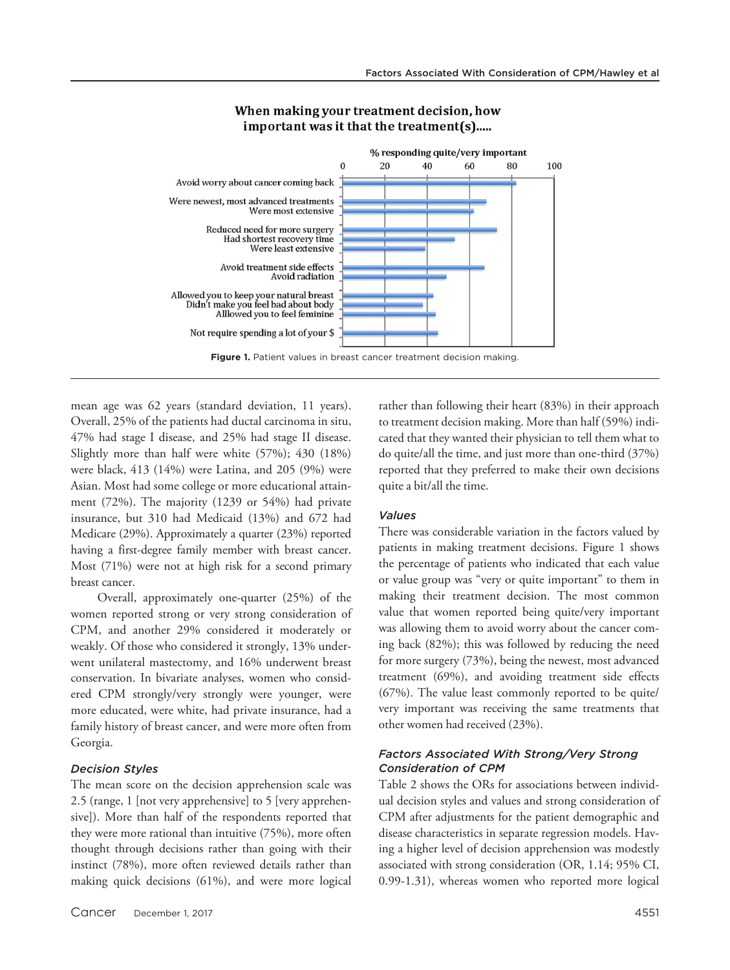

# When making your treatment decision, how important was it that the treatment(s).....

mean age was 62 years (standard deviation, 11 years). Overall, 25% of the patients had ductal carcinoma in situ, 47% had stage I disease, and 25% had stage II disease. Slightly more than half were white (57%); 430 (18%) were black, 413 (14%) were Latina, and 205 (9%) were Asian. Most had some college or more educational attainment (72%). The majority (1239 or 54%) had private insurance, but 310 had Medicaid (13%) and 672 had Medicare (29%). Approximately a quarter (23%) reported having a first-degree family member with breast cancer. Most (71%) were not at high risk for a second primary breast cancer.

Overall, approximately one-quarter (25%) of the women reported strong or very strong consideration of CPM, and another 29% considered it moderately or weakly. Of those who considered it strongly, 13% underwent unilateral mastectomy, and 16% underwent breast conservation. In bivariate analyses, women who considered CPM strongly/very strongly were younger, were more educated, were white, had private insurance, had a family history of breast cancer, and were more often from Georgia.

## Decision Styles

The mean score on the decision apprehension scale was 2.5 (range, 1 [not very apprehensive] to 5 [very apprehensive]). More than half of the respondents reported that they were more rational than intuitive (75%), more often thought through decisions rather than going with their instinct (78%), more often reviewed details rather than making quick decisions (61%), and were more logical rather than following their heart (83%) in their approach to treatment decision making. More than half (59%) indicated that they wanted their physician to tell them what to do quite/all the time, and just more than one-third (37%) reported that they preferred to make their own decisions quite a bit/all the time.

#### Values

There was considerable variation in the factors valued by patients in making treatment decisions. Figure 1 shows the percentage of patients who indicated that each value or value group was "very or quite important" to them in making their treatment decision. The most common value that women reported being quite/very important was allowing them to avoid worry about the cancer coming back (82%); this was followed by reducing the need for more surgery (73%), being the newest, most advanced treatment (69%), and avoiding treatment side effects (67%). The value least commonly reported to be quite/ very important was receiving the same treatments that other women had received (23%).

## Factors Associated With Strong/Very Strong Consideration of CPM

Table 2 shows the ORs for associations between individual decision styles and values and strong consideration of CPM after adjustments for the patient demographic and disease characteristics in separate regression models. Having a higher level of decision apprehension was modestly associated with strong consideration (OR, 1.14; 95% CI, 0.99-1.31), whereas women who reported more logical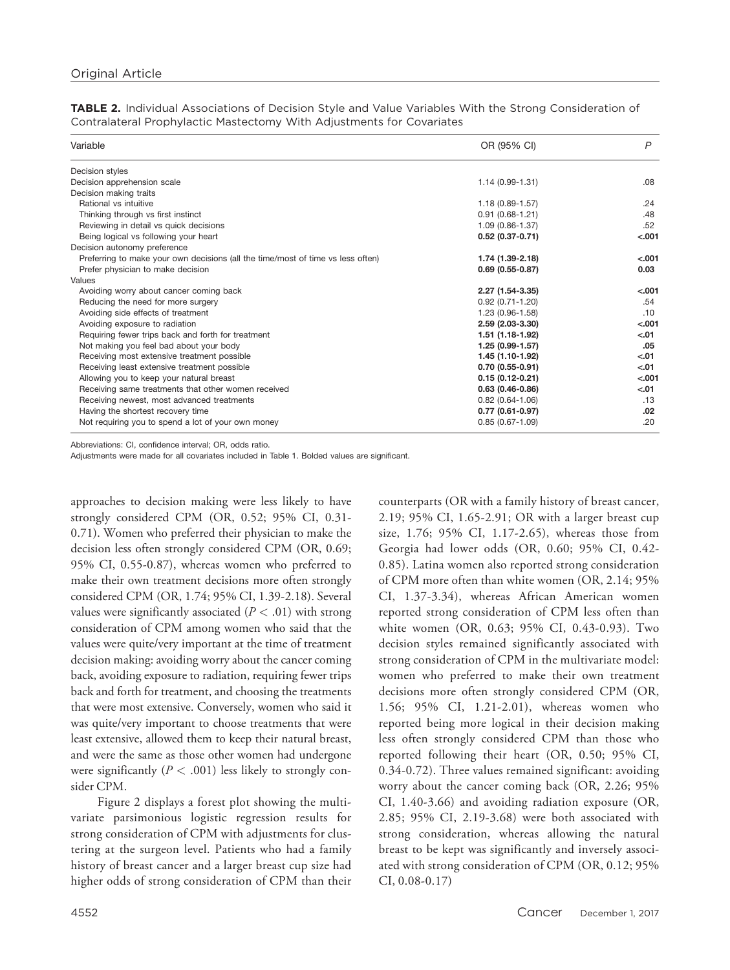| <b>TABLE 2.</b> Individual Associations of Decision Style and Value Variables With the Strong Consideration of |  |  |  |  |
|----------------------------------------------------------------------------------------------------------------|--|--|--|--|
| Contralateral Prophylactic Mastectomy With Adjustments for Covariates                                          |  |  |  |  |

| Variable                                                                        | OR (95% CI)         | $\overline{P}$ |
|---------------------------------------------------------------------------------|---------------------|----------------|
| Decision styles                                                                 |                     |                |
| Decision apprehension scale                                                     | $1.14(0.99 - 1.31)$ | .08            |
| Decision making traits                                                          |                     |                |
| Rational vs intuitive                                                           | $1.18(0.89 - 1.57)$ | .24            |
| Thinking through vs first instinct                                              | $0.91(0.68 - 1.21)$ | .48            |
| Reviewing in detail vs quick decisions                                          | $1.09(0.86 - 1.37)$ | .52            |
| Being logical vs following your heart                                           | $0.52(0.37-0.71)$   | $-.001$        |
| Decision autonomy preference                                                    |                     |                |
| Preferring to make your own decisions (all the time/most of time vs less often) | 1.74 (1.39-2.18)    | $-.001$        |
| Prefer physician to make decision                                               | $0.69$ (0.55-0.87)  | 0.03           |
| Values                                                                          |                     |                |
| Avoiding worry about cancer coming back                                         | 2.27 (1.54-3.35)    | $-.001$        |
| Reducing the need for more surgery                                              | $0.92(0.71 - 1.20)$ | .54            |
| Avoiding side effects of treatment                                              | 1.23 (0.96-1.58)    | .10            |
| Avoiding exposure to radiation                                                  | 2.59 (2.03-3.30)    | $-.001$        |
| Requiring fewer trips back and forth for treatment                              | 1.51 (1.18-1.92)    | < 0.01         |
| Not making you feel bad about your body                                         | 1.25 (0.99-1.57)    | .05            |
| Receiving most extensive treatment possible                                     | 1.45 (1.10-1.92)    | $-.01$         |
| Receiving least extensive treatment possible                                    | $0.70(0.55-0.91)$   | $-.01$         |
| Allowing you to keep your natural breast                                        | $0.15(0.12-0.21)$   | $-.001$        |
| Receiving same treatments that other women received                             | $0.63(0.46-0.86)$   | $-.01$         |
| Receiving newest, most advanced treatments                                      | $0.82(0.64 - 1.06)$ | .13            |
| Having the shortest recovery time                                               | $0.77$ (0.61-0.97)  | .02            |
| Not requiring you to spend a lot of your own money                              | $0.85(0.67 - 1.09)$ | .20            |

Abbreviations: CI, confidence interval; OR, odds ratio.

Adjustments were made for all covariates included in Table 1. Bolded values are significant.

approaches to decision making were less likely to have strongly considered CPM (OR, 0.52; 95% CI, 0.31- 0.71). Women who preferred their physician to make the decision less often strongly considered CPM (OR, 0.69; 95% CI, 0.55-0.87), whereas women who preferred to make their own treatment decisions more often strongly considered CPM (OR, 1.74; 95% CI, 1.39-2.18). Several values were significantly associated ( $P < .01$ ) with strong consideration of CPM among women who said that the values were quite/very important at the time of treatment decision making: avoiding worry about the cancer coming back, avoiding exposure to radiation, requiring fewer trips back and forth for treatment, and choosing the treatments that were most extensive. Conversely, women who said it was quite/very important to choose treatments that were least extensive, allowed them to keep their natural breast, and were the same as those other women had undergone were significantly ( $P < .001$ ) less likely to strongly consider CPM.

Figure 2 displays a forest plot showing the multivariate parsimonious logistic regression results for strong consideration of CPM with adjustments for clustering at the surgeon level. Patients who had a family history of breast cancer and a larger breast cup size had higher odds of strong consideration of CPM than their counterparts (OR with a family history of breast cancer, 2.19; 95% CI, 1.65-2.91; OR with a larger breast cup size, 1.76; 95% CI, 1.17-2.65), whereas those from Georgia had lower odds (OR, 0.60; 95% CI, 0.42- 0.85). Latina women also reported strong consideration of CPM more often than white women (OR, 2.14; 95% CI, 1.37-3.34), whereas African American women reported strong consideration of CPM less often than white women (OR, 0.63; 95% CI, 0.43-0.93). Two decision styles remained significantly associated with strong consideration of CPM in the multivariate model: women who preferred to make their own treatment decisions more often strongly considered CPM (OR, 1.56; 95% CI, 1.21-2.01), whereas women who reported being more logical in their decision making less often strongly considered CPM than those who reported following their heart (OR, 0.50; 95% CI, 0.34-0.72). Three values remained significant: avoiding worry about the cancer coming back (OR, 2.26; 95% CI, 1.40-3.66) and avoiding radiation exposure (OR, 2.85; 95% CI, 2.19-3.68) were both associated with strong consideration, whereas allowing the natural breast to be kept was significantly and inversely associated with strong consideration of CPM (OR, 0.12; 95% CI, 0.08-0.17)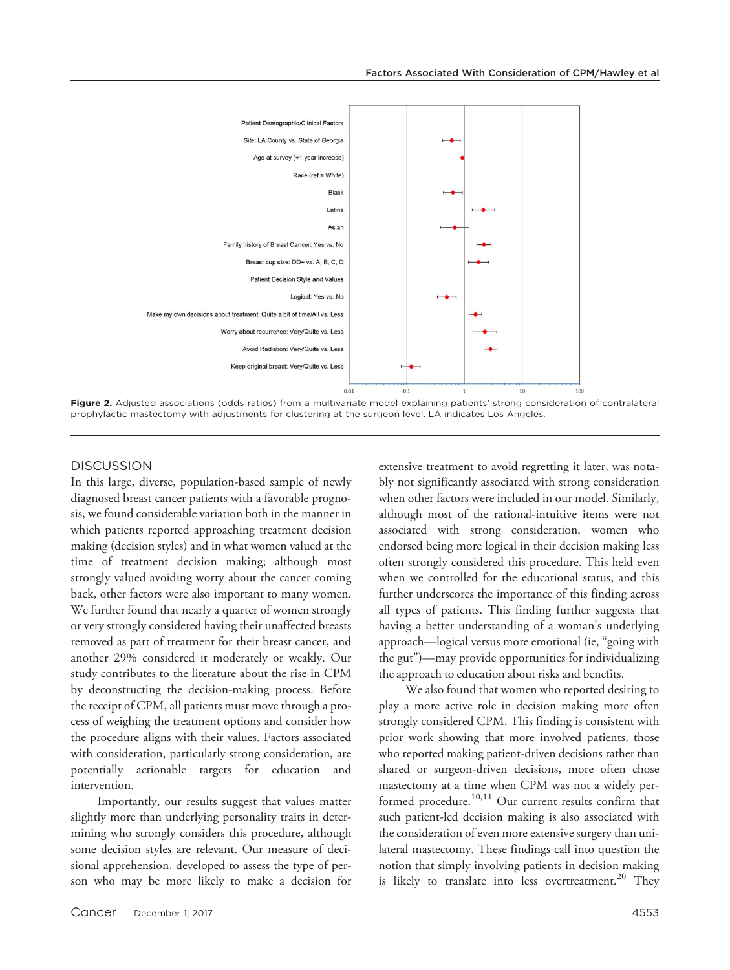

Figure 2. Adjusted associations (odds ratios) from a multivariate model explaining patients' strong consideration of contralateral prophylactic mastectomy with adjustments for clustering at the surgeon level. LA indicates Los Angeles.

# **DISCUSSION**

In this large, diverse, population-based sample of newly diagnosed breast cancer patients with a favorable prognosis, we found considerable variation both in the manner in which patients reported approaching treatment decision making (decision styles) and in what women valued at the time of treatment decision making; although most strongly valued avoiding worry about the cancer coming back, other factors were also important to many women. We further found that nearly a quarter of women strongly or very strongly considered having their unaffected breasts removed as part of treatment for their breast cancer, and another 29% considered it moderately or weakly. Our study contributes to the literature about the rise in CPM by deconstructing the decision-making process. Before the receipt of CPM, all patients must move through a process of weighing the treatment options and consider how the procedure aligns with their values. Factors associated with consideration, particularly strong consideration, are potentially actionable targets for education and intervention.

Importantly, our results suggest that values matter slightly more than underlying personality traits in determining who strongly considers this procedure, although some decision styles are relevant. Our measure of decisional apprehension, developed to assess the type of person who may be more likely to make a decision for extensive treatment to avoid regretting it later, was notably not significantly associated with strong consideration when other factors were included in our model. Similarly, although most of the rational-intuitive items were not associated with strong consideration, women who endorsed being more logical in their decision making less often strongly considered this procedure. This held even when we controlled for the educational status, and this further underscores the importance of this finding across all types of patients. This finding further suggests that having a better understanding of a woman's underlying approach—logical versus more emotional (ie, "going with the gut")—may provide opportunities for individualizing the approach to education about risks and benefits.

We also found that women who reported desiring to play a more active role in decision making more often strongly considered CPM. This finding is consistent with prior work showing that more involved patients, those who reported making patient-driven decisions rather than shared or surgeon-driven decisions, more often chose mastectomy at a time when CPM was not a widely performed procedure.<sup>10,11</sup> Our current results confirm that such patient-led decision making is also associated with the consideration of even more extensive surgery than unilateral mastectomy. These findings call into question the notion that simply involving patients in decision making is likely to translate into less overtreatment.<sup>20</sup> They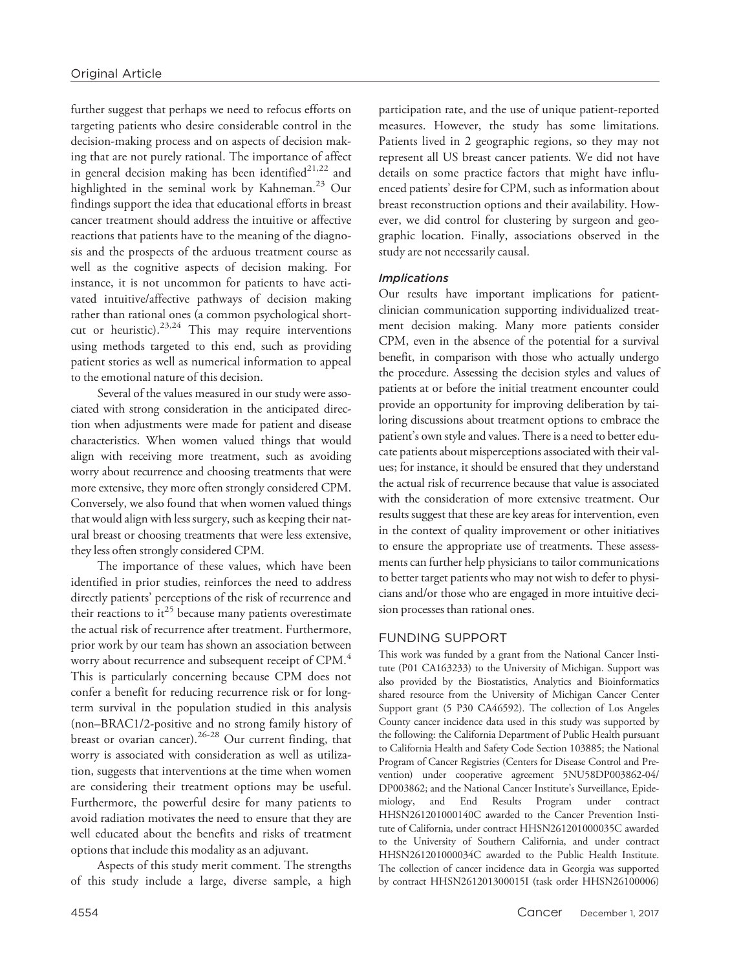further suggest that perhaps we need to refocus efforts on targeting patients who desire considerable control in the decision-making process and on aspects of decision making that are not purely rational. The importance of affect in general decision making has been identified $2^{1,22}$  and highlighted in the seminal work by Kahneman.<sup>23</sup> Our findings support the idea that educational efforts in breast cancer treatment should address the intuitive or affective reactions that patients have to the meaning of the diagnosis and the prospects of the arduous treatment course as well as the cognitive aspects of decision making. For instance, it is not uncommon for patients to have activated intuitive/affective pathways of decision making rather than rational ones (a common psychological shortcut or heuristic).<sup>23,24</sup> This may require interventions using methods targeted to this end, such as providing patient stories as well as numerical information to appeal to the emotional nature of this decision.

Several of the values measured in our study were associated with strong consideration in the anticipated direction when adjustments were made for patient and disease characteristics. When women valued things that would align with receiving more treatment, such as avoiding worry about recurrence and choosing treatments that were more extensive, they more often strongly considered CPM. Conversely, we also found that when women valued things that would align with less surgery, such as keeping their natural breast or choosing treatments that were less extensive, they less often strongly considered CPM.

The importance of these values, which have been identified in prior studies, reinforces the need to address directly patients' perceptions of the risk of recurrence and their reactions to it<sup>25</sup> because many patients overestimate the actual risk of recurrence after treatment. Furthermore, prior work by our team has shown an association between worry about recurrence and subsequent receipt of CPM.<sup>4</sup> This is particularly concerning because CPM does not confer a benefit for reducing recurrence risk or for longterm survival in the population studied in this analysis (non–BRAC1/2-positive and no strong family history of breast or ovarian cancer).  $26-28$  Our current finding, that worry is associated with consideration as well as utilization, suggests that interventions at the time when women are considering their treatment options may be useful. Furthermore, the powerful desire for many patients to avoid radiation motivates the need to ensure that they are well educated about the benefits and risks of treatment options that include this modality as an adjuvant.

Aspects of this study merit comment. The strengths of this study include a large, diverse sample, a high participation rate, and the use of unique patient-reported measures. However, the study has some limitations. Patients lived in 2 geographic regions, so they may not represent all US breast cancer patients. We did not have details on some practice factors that might have influenced patients' desire for CPM, such as information about breast reconstruction options and their availability. However, we did control for clustering by surgeon and geographic location. Finally, associations observed in the study are not necessarily causal.

# Implications

Our results have important implications for patientclinician communication supporting individualized treatment decision making. Many more patients consider CPM, even in the absence of the potential for a survival benefit, in comparison with those who actually undergo the procedure. Assessing the decision styles and values of patients at or before the initial treatment encounter could provide an opportunity for improving deliberation by tailoring discussions about treatment options to embrace the patient's own style and values. There is a need to better educate patients about misperceptions associated with their values; for instance, it should be ensured that they understand the actual risk of recurrence because that value is associated with the consideration of more extensive treatment. Our results suggest that these are key areas for intervention, even in the context of quality improvement or other initiatives to ensure the appropriate use of treatments. These assessments can further help physicians to tailor communications to better target patients who may not wish to defer to physicians and/or those who are engaged in more intuitive decision processes than rational ones.

# FUNDING SUPPORT

This work was funded by a grant from the National Cancer Institute (P01 CA163233) to the University of Michigan. Support was also provided by the Biostatistics, Analytics and Bioinformatics shared resource from the University of Michigan Cancer Center Support grant (5 P30 CA46592). The collection of Los Angeles County cancer incidence data used in this study was supported by the following: the California Department of Public Health pursuant to California Health and Safety Code Section 103885; the National Program of Cancer Registries (Centers for Disease Control and Prevention) under cooperative agreement 5NU58DP003862-04/ DP003862; and the National Cancer Institute's Surveillance, Epidemiology, and End Results Program under contract HHSN261201000140C awarded to the Cancer Prevention Institute of California, under contract HHSN261201000035C awarded to the University of Southern California, and under contract HHSN261201000034C awarded to the Public Health Institute. The collection of cancer incidence data in Georgia was supported by contract HHSN261201300015I (task order HHSN26100006)